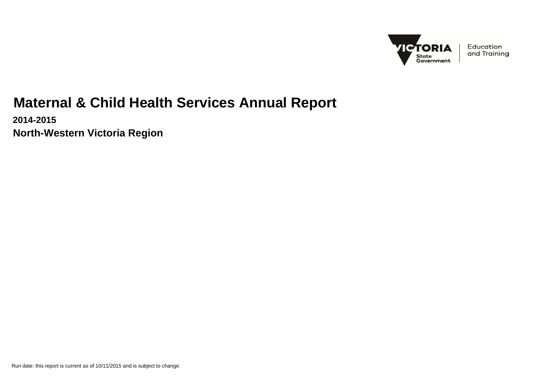

Education and Training

# **Maternal & Child Health Services Annual Report**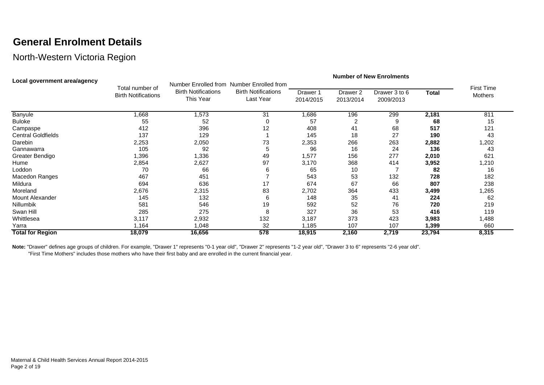#### **General Enrolment Details**

#### North-Western Victoria Region

| Local government area/agency |                                               | <b>Number of New Enrolments</b>                                                      |                                         |                       |                                  |                            |              |                                     |  |  |
|------------------------------|-----------------------------------------------|--------------------------------------------------------------------------------------|-----------------------------------------|-----------------------|----------------------------------|----------------------------|--------------|-------------------------------------|--|--|
|                              | Total number of<br><b>Birth Notifications</b> | Number Enrolled from Number Enrolled from<br><b>Birth Notifications</b><br>This Year | <b>Birth Notifications</b><br>Last Year | Drawer 1<br>2014/2015 | Drawer <sub>2</sub><br>2013/2014 | Drawer 3 to 6<br>2009/2013 | <b>Total</b> | <b>First Time</b><br><b>Mothers</b> |  |  |
| Banyule                      | ,668                                          | 1,573                                                                                | 31                                      | 686, ا                | 196                              | 299                        | 2,181        | 811                                 |  |  |
| <b>Buloke</b>                | 55                                            | 52                                                                                   | 0                                       | 57                    |                                  |                            | 68           | 15                                  |  |  |
| Campaspe                     | 412                                           | 396                                                                                  | 12                                      | 408                   | 41                               | 68                         | 517          | 121                                 |  |  |
| <b>Central Goldfields</b>    | 137                                           | 129                                                                                  |                                         | 145                   | 18                               | 27                         | 190          | 43                                  |  |  |
| Darebin                      | 2,253                                         | 2,050                                                                                | 73                                      | 2,353                 | 266                              | 263                        | 2,882        | 1,202                               |  |  |
| Gannawarra                   | 105                                           | 92                                                                                   | 5                                       | 96                    | 16                               | 24                         | 136          | 43                                  |  |  |
| Greater Bendigo              | ,396                                          | 1,336                                                                                | 49                                      | 1,577                 | 156                              | 277                        | 2,010        | 621                                 |  |  |
| Hume                         | 2,854                                         | 2,627                                                                                | 97                                      | 3,170                 | 368                              | 414                        | 3,952        | 1,210                               |  |  |
| Loddon                       | 70                                            | 66                                                                                   | 6                                       | 65                    | 10                               |                            | 82           | 16                                  |  |  |
| Macedon Ranges               | 467                                           | 451                                                                                  |                                         | 543                   | 53                               | 132                        | 728          | 182                                 |  |  |
| Mildura                      | 694                                           | 636                                                                                  | 17                                      | 674                   | 67                               | 66                         | 807          | 238                                 |  |  |
| Moreland                     | 2,676                                         | 2,315                                                                                | 83                                      | 2,702                 | 364                              | 433                        | 3,499        | 1,265                               |  |  |
| Mount Alexander              | 145                                           | 132                                                                                  | 6                                       | 148                   | 35                               | 41                         | 224          | 62                                  |  |  |
| Nillumbik                    | 581                                           | 546                                                                                  | 19                                      | 592                   | 52                               | 76                         | 720          | 219                                 |  |  |
| Swan Hill                    | 285                                           | 275                                                                                  | 8                                       | 327                   | 36                               | 53                         | 416          | 119                                 |  |  |
| Whittlesea                   | 3,117                                         | 2,932                                                                                | 132                                     | 3,187                 | 373                              | 423                        | 3,983        | 1,488                               |  |  |
| Yarra                        | 1,164                                         | 1,048                                                                                | 32                                      | ,185                  | 107                              | 107                        | 1,399        | 660                                 |  |  |
| <b>Total for Region</b>      | 18,079                                        | 16,656                                                                               | 578                                     | 18,915                | 2,160                            | 2,719                      | 23,794       | 8,315                               |  |  |

Note: "Drawer" defines age groups of children. For example, "Drawer 1" represents "0-1 year old", "Drawer 2" represents "1-2 year old", "Drawer 3 to 6" represents "2-6 year old". "First Time Mothers" includes those mothers who have their first baby and are enrolled in the current financial year.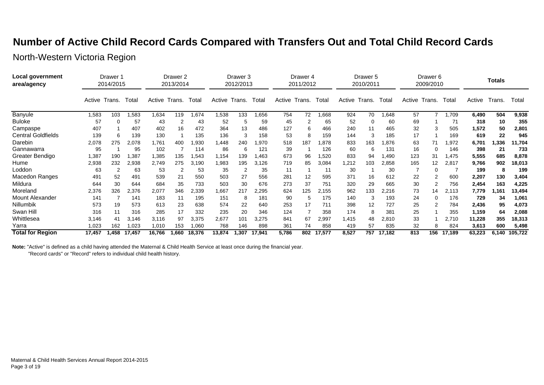#### **Number of Active Child Record Cards Compared with Transfers Out and Total Child Record Cards**

North-Western Victoria Region

| Local government<br>area/agency |        | Drawer 1<br>2014/2015 |        | Drawer 2<br>2013/2014 |                |        | Drawer 3<br>2012/2013 |        | Drawer <sub>4</sub><br>2011/2012 |        | Drawer 5<br>2010/2011 |        |        | Drawer 6<br>2009/2010 |        |        | Totals |        |        |        |         |
|---------------------------------|--------|-----------------------|--------|-----------------------|----------------|--------|-----------------------|--------|----------------------------------|--------|-----------------------|--------|--------|-----------------------|--------|--------|--------|--------|--------|--------|---------|
|                                 | Active | Trans.                | Total  | Active                | Trans.         | Total  | Active                | Trans. | Total                            | Active | Trans.                | Total  | Active | Trans.                | Total  | Active | Trans. | Total  | Active | Trans. | Total   |
| <b>Banyule</b>                  | 1,583  | 103                   | .583   | 1,634                 | 119            | 1,674  | 1,538                 | 133    | 1,656                            | 754    | 72                    | 866,   | 924    | 70                    | .648   | 57     |        | ,709   | 6,490  | 504    | 9,938   |
| <b>Buloke</b>                   | 57     | 0                     | 57     | 43                    | 2              | 43     | 52                    | 5      | 59                               | 45     |                       | 65     | 52     | 0                     | 60     | 69     |        | 71     | 318    | 10     | 355     |
| Campaspe                        | 407    |                       | 407    | 402                   | 16             | 472    | 364                   | 13     | 486                              | 127    | 6                     | 466    | 240    | 11                    | 465    | 32     | 3      | 505    | 1,572  | 50     | 2,801   |
| <b>Central Goldfields</b>       | 139    | 6                     | 139    | 130                   |                | 135    | 136                   | 3      | 158                              | 53     | 8                     | 159    | 144    | 3                     | 185    | 17     |        | 169    | 619    | 22     | 945     |
| Darebin                         | 2,078  | 275                   | 2,078  | 1,761                 | 400            | ,930   | 1,448                 | 240    | 1,970                            | 518    | 187                   | 878. ا | 833    | 163                   | .876   | 63     | 71     | .972   | 6,701  | 1,336  | 11,704  |
| Gannawarra                      | 95     |                       | 95     | 102                   |                | 114    | 86                    | 6      | 121                              | 39     |                       | 126    | 60     | 6                     | 131    | 16     | 0      | 146    | 398    | 21     | 733     |
| Greater Bendigo                 | 1,387  | 190                   | 1,387  | 1,385                 | 135            | 543. ا | 1,154                 | 139    | 1,463                            | 673    | 96                    | 1,520  | 833    | 94                    | .490   | 123    | 31     | .475   | 5,555  | 685    | 8,878   |
| Hume                            | 2,938  | 232                   | 2,938  | 2,749                 | 275            | 3,190  | 1,983                 | 195    | 3,126                            | 719    | 85                    | 3,084  | 1,212  | 103                   | 2,858  | 165    | 12     | 2,817  | 9,766  | 902    | 18,013  |
| Loddon                          | 63     | 2                     | 63     | 53                    | $\overline{2}$ | 53     | 35                    | 2      | 35                               | 11     |                       | 11     | 30     |                       | 30     |        | 0      |        | 199    | 8      | 199     |
| <b>Macedon Ranges</b>           | 491    | 52                    | 491    | 539                   | 21             | 550    | 503                   | 27     | 556                              | 281    | 12                    | 595    | 371    | 16                    | 612    | 22     |        | 600    | 2,207  | 130    | 3,404   |
| Mildura                         | 644    | 30                    | 644    | 684                   | 35             | 733    | 503                   | 30     | 676                              | 273    | 37                    | 751    | 320    | 29                    | 665    | 30     | 2      | 756    | 2,454  | 163    | 4,225   |
| Moreland                        | 2,376  | 326                   | 2,376  | 2,077                 | 346            | 2,339  | 1,667                 | 217    | 2,295                            | 624    | 125                   | 2,155  | 962    | 133                   | 2,216  | 73     | 14     | 2,113  | 7,779  | 1,161  | 13,494  |
| <b>Mount Alexander</b>          | 141    |                       | 141    | 183                   | 11             | 195    | 151                   | 8      | 181                              | 90     | 5                     | 175    | 140    | 3                     | 193    | 24     | 0      | 176    | 729    | 34     | 1,061   |
| Nillumbik                       | 573    | 19                    | 573    | 613                   | 23             | 638    | 574                   | 22     | 640                              | 253    | 17                    | 711    | 398    | 12                    | 727    | 25     | 2      | 784    | 2,436  | 95     | 4,073   |
| Swan Hill                       | 316    | 11                    | 316    | 285                   | 17             | 332    | 235                   | 20     | 346                              | 124    |                       | 358    | 174    | 8                     | 381    | 25     |        | 355    | 1,159  | 64     | 2,088   |
| Whittlesea                      | 3,146  | 41                    | 3,146  | 3,116                 | 97             | 3,375  | 2,677                 | 101    | 3,275                            | 841    | 67                    | 2,997  | 1,415  | 48                    | 2,810  | 33     |        | 2,710  | 11,228 | 355    | 18,313  |
| Yarra                           | 0.023  | 162                   | 023. ا | 1,010                 | 153            | 1,060  | 768                   | 146    | 898                              | 361    | 74                    | 858    | 419    | 57                    | 835    | 32     | 8      | 824    | 3,613  | 600    | 5,498   |
| <b>Total for Region</b>         | 17,457 | 1,458                 | 17,457 | 16,766                | .660           | 18,376 | 13,874                | .307   | 17,941                           | 5,786  | 802                   | 17,577 | 8,527  | 757                   | 17.182 | 813    | 156    | 17,189 | 63,223 | 6,140  | 105,722 |

**Note:** "Active" is defined as a child having attended the Maternal & Child Health Service at least once during the financial year.

"Record cards" or "Record" refers to individual child health history.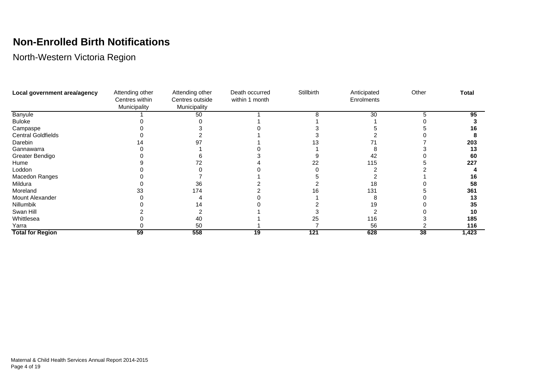# **Non-Enrolled Birth Notifications**

| Local government area/agency | Attending other                | Attending other                 | Death occurred | Stillbirth | Anticipated | Other | <b>Total</b> |
|------------------------------|--------------------------------|---------------------------------|----------------|------------|-------------|-------|--------------|
|                              | Centres within<br>Municipality | Centres outside<br>Municipality | within 1 month |            | Enrolments  |       |              |
| Banyule                      |                                | 50                              |                |            | 30          |       | 95           |
| <b>Buloke</b>                |                                |                                 |                |            |             |       |              |
| Campaspe                     |                                |                                 |                |            |             |       | 16           |
| <b>Central Goldfields</b>    |                                |                                 |                |            |             |       |              |
| Darebin                      |                                |                                 |                |            |             |       | 203          |
| Gannawarra                   |                                |                                 |                |            |             |       | 13           |
| Greater Bendigo              |                                |                                 |                |            | 42          |       | 60           |
| Hume                         |                                |                                 |                |            | 115         |       | 227          |
| Loddon                       |                                |                                 |                |            |             |       |              |
| Macedon Ranges               |                                |                                 |                |            |             |       | 16           |
| Mildura                      |                                | 36                              |                |            | 18          |       | 58           |
| Moreland                     |                                | 174                             |                | n          | 131         |       | 361          |
| Mount Alexander              |                                |                                 |                |            |             |       | 13           |
| Nillumbik                    |                                |                                 |                |            |             |       | 35           |
| Swan Hill                    |                                |                                 |                |            |             |       | 10           |
| Whittlesea                   |                                | 40                              |                | 25         | 116         |       | 185          |
| Yarra                        |                                | 50                              |                |            | 56          |       | 116          |
| <b>Total for Region</b>      | 59                             | 558                             | 19             | 121        | 628         | 38    | 1,423        |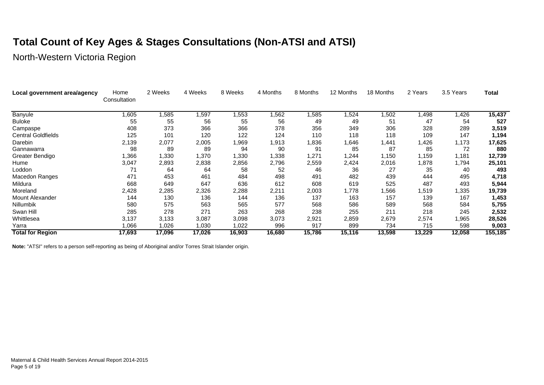# **Total Count of Key Ages & Stages Consultations (Non-ATSI and ATSI)**

North-Western Victoria Region

| Local government area/agency | Home<br>Consultation | 2 Weeks | 4 Weeks | 8 Weeks | 4 Months | 8 Months | 12 Months | 18 Months | 2 Years | 3.5 Years | Total   |
|------------------------------|----------------------|---------|---------|---------|----------|----------|-----------|-----------|---------|-----------|---------|
| Banyule                      | 1,605                | 1,585   | 597, ا  | ,553    | 1,562    | ,585     | ,524      | 1,502     | 498, ا  | ,426      | 15,437  |
| <b>Buloke</b>                | 55                   | 55      | 56      | 55      | 56       | 49       | 49        | 51        | 47      | 54        | 527     |
| Campaspe                     | 408                  | 373     | 366     | 366     | 378      | 356      | 349       | 306       | 328     | 289       | 3,519   |
| <b>Central Goldfields</b>    | 125                  | 101     | 120     | 122     | 124      | 110      | 118       | 118       | 109     | 147       | 1,194   |
| Darebin                      | 2,139                | 2,077   | 2,005   | ,969    | 1,913    | 836. ا   | 1,646     | 1,441     | ,426    | 1,173     | 17,625  |
| Gannawarra                   | 98                   | 89      | 89      | 94      | 90       | 91       | 85        | 87        | 85      | 72        | 880     |
| Greater Bendigo              | 1,366                | 1,330   | 1,370   | 1,330   | 1,338    | 271. ا   | 1,244     | 1,150     | 1,159   | 1,181     | 12,739  |
| Hume                         | 3,047                | 2,893   | 2,838   | 2,856   | 2,796    | 2,559    | 2,424     | 2,016     | ,878    | 1,794     | 25,101  |
| Loddon                       | 71                   | 64      | 64      | 58      | 52       | 46       | 36        | 27        | 35      | 40        | 493     |
| Macedon Ranges               | 471                  | 453     | 461     | 484     | 498      | 491      | 482       | 439       | 444     | 495       | 4,718   |
| Mildura                      | 668                  | 649     | 647     | 636     | 612      | 608      | 619       | 525       | 487     | 493       | 5,944   |
| Moreland                     | 2,428                | 2,285   | 2,326   | 2,288   | 2,211    | 2,003    | .778      | 1,566     | 1,519   | 1,335     | 19,739  |
| <b>Mount Alexander</b>       | 144                  | 130     | 136     | 144     | 136      | 137      | 163       | 157       | 139     | 167       | 1,453   |
| Nillumbik                    | 580                  | 575     | 563     | 565     | 577      | 568      | 586       | 589       | 568     | 584       | 5,755   |
| Swan Hill                    | 285                  | 278     | 271     | 263     | 268      | 238      | 255       | 211       | 218     | 245       | 2,532   |
| Whittlesea                   | 3,137                | 3,133   | 3,087   | 3,098   | 3,073    | 2,921    | 2,859     | 2,679     | 2,574   | ,965      | 28,526  |
| Yarra                        | 1,066                | 1,026   | 1,030   | 1,022   | 996      | 917      | 899       | 734       | 715     | 598       | 9,003   |
| <b>Total for Region</b>      | 17,693               | 17,096  | 17,026  | 16,903  | 16,680   | 15,786   | 15,116    | 13,598    | 13,229  | 12,058    | 155,185 |

**Note:** "ATSI" refers to a person self-reporting as being of Aboriginal and/or Torres Strait Islander origin.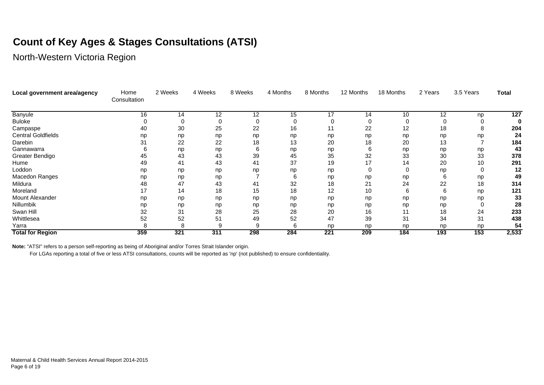# **Count of Key Ages & Stages Consultations (ATSI)**

North-Western Victoria Region

| Local government area/agency | Home<br>Consultation | 2 Weeks | 4 Weeks | 8 Weeks | 4 Months | 8 Months         | 12 Months | 18 Months | 2 Years | 3.5 Years | <b>Total</b> |
|------------------------------|----------------------|---------|---------|---------|----------|------------------|-----------|-----------|---------|-----------|--------------|
| <b>Banyule</b>               | 16                   | 14      | 12      | 12      | 15       | 17               | 14        | 10        | 12      | np        | 127          |
| <b>Buloke</b>                |                      |         |         |         |          |                  | 0         | 0         |         |           |              |
| Campaspe                     | 40                   | 30      | 25      | 22      | 16       | 11               | 22        | 12        | 18      | 8         | 204          |
| <b>Central Goldfields</b>    | np                   | np      | np      | np      | np       | np               | np        | np        | np      | np        | 24           |
| Darebin                      | 31                   | 22      | 22      | 18      | 13       | 20               | 18        | 20        | 13      |           | 184          |
| Gannawarra                   |                      | np      | np      |         | np       | np               | 6         | np        | np      | np        | 43           |
| Greater Bendigo              | 45                   | 43      | 43      | 39      | 45       | 35               | 32        | 33        | 30      | 33        | 378          |
| Hume                         | 49                   | 41      | 43      | 41      | 37       | 19               | 17        | 14        | 20      | 10        | 291          |
| Loddon                       | np                   | np      | np      | np      | np       | np               | 0         |           | np      |           | 12           |
| Macedon Ranges               | np                   | np      | np      |         |          | np               | np        | np        | 6       | np        | 49           |
| Mildura                      | 48                   | 47      | 43      | 41      | 32       | 18               | 21        | 24        | 22      | 18        | 314          |
| Moreland                     | 17                   | 14      | 18      | 15      | 18       | 12               | 10        | 6         | 6       | np        | 121          |
| Mount Alexander              | np                   | np      | np      | np      | np       | np               | np        | np        | np      | np        | 33           |
| Nillumbik                    | np                   | np      | np      | np      | np       | np               | np        | np        | np      |           | 28           |
| Swan Hill                    | 32                   | 31      | 28      | 25      | 28       | 20               | 16        | 11        | 18      | 24        | 233          |
| Whittlesea                   | 52                   | 52      | 51      | 49      | 52       | 47               | 39        | 31        | 34      | 31        | 438          |
| Yarra                        |                      |         |         |         |          | np               | np        | np        | np      | np        | 54           |
| <b>Total for Region</b>      | 359                  | 321     | 311     | 298     | 284      | $\overline{221}$ | 209       | 184       | 193     | 153       | 2,533        |

**Note:** "ATSI" refers to a person self-reporting as being of Aboriginal and/or Torres Strait Islander origin.

For LGAs reporting a total of five or less ATSI consultations, counts will be reported as 'np' (not published) to ensure confidentiality.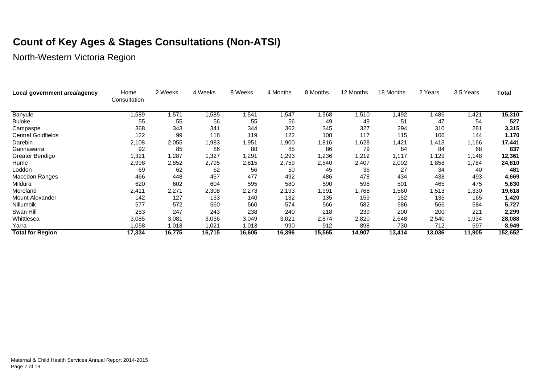# **Count of Key Ages & Stages Consultations (Non-ATSI)**

| Local government area/agency | Home<br>Consultation | 2 Weeks | 4 Weeks | 8 Weeks | 4 Months | 8 Months | 12 Months | 18 Months | 2 Years | 3.5 Years | <b>Total</b> |
|------------------------------|----------------------|---------|---------|---------|----------|----------|-----------|-----------|---------|-----------|--------------|
| <b>Banyule</b>               | ,589                 | ,571    | 1,585   | 541,ا   | 1,547    | 1,568    | 1,510     | 1,492     | 1,486   | 421,ا     | 15,310       |
| <b>Buloke</b>                | 55                   | 55      | 56      | 55      | 56       | 49       | 49        | 51        | 47      | 54        | 527          |
| Campaspe                     | 368                  | 343     | 341     | 344     | 362      | 345      | 327       | 294       | 310     | 281       | 3,315        |
| <b>Central Goldfields</b>    | 122                  | 99      | 118     | 119     | 122      | 108      | 117       | 115       | 106     | 144       | 1,170        |
| Darebin                      | 2,108                | 2,055   | 1,983   | 1,951   | 1,900    | 1,816    | 1,628     | 1,421     | 1,413   | 1,166     | 17,441       |
| Gannawarra                   | 92                   | 85      | 86      | 88      | 85       | 86       | 79        | 84        | -84     | 68        | 837          |
| Greater Bendigo              | 321,ا                | 1,287   | 1,327   | 1,291   | 1,293    | 1,236    | 1,212     | 1,117     | 1,129   | 1,148     | 12,361       |
| Hume                         | 2,998                | 2,852   | 2,795   | 2,815   | 2,759    | 2,540    | 2,407     | 2,002     | 1,858   | 1,784     | 24,810       |
| Loddon                       | 69                   | 62      | 62      | 56      | 50       | 45       | 36        | 27        | 34      | 40        | 481          |
| Macedon Ranges               | 466                  | 448     | 457     | 477     | 492      | 486      | 478       | 434       | 438     | 493       | 4,669        |
| Mildura                      | 620                  | 602     | 604     | 595     | 580      | 590      | 598       | 501       | 465     | 475       | 5,630        |
| Moreland                     | 2,411                | 2,271   | 2,308   | 2,273   | 2,193    | 1,991    | 1,768     | 1,560     | 1,513   | 1,330     | 19,618       |
| Mount Alexander              | 142                  | 127     | 133     | 140     | 132      | 135      | 159       | 152       | 135     | 165       | 1,420        |
| Nillumbik                    | 577                  | 572     | 560     | 560     | 574      | 566      | 582       | 586       | 566     | 584       | 5,727        |
| Swan Hill                    | 253                  | 247     | 243     | 238     | 240      | 218      | 239       | 200       | 200     | 221       | 2,299        |
| Whittlesea                   | 3,085                | 3,081   | 3,036   | 3,049   | 3,021    | 2,874    | 2,820     | 2,648     | 2,540   | 1,934     | 28,088       |
| Yarra                        | .058                 | 1,018   | 1,021   | 1,013   | 990      | 912      | 898       | 730       | 712     | 597       | 8,949        |
| <b>Total for Region</b>      | 17,334               | 16,775  | 16,715  | 16,605  | 16,396   | 15,565   | 14,907    | 13,414    | 13,036  | 11,905    | 152,652      |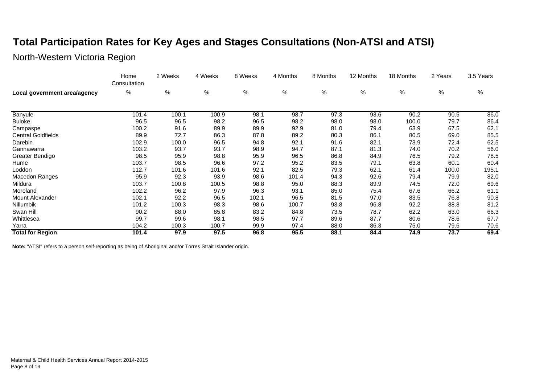# **Total Participation Rates for Key Ages and Stages Consultations (Non-ATSI and ATSI)**

North-Western Victoria Region

|                              | Home<br>Consultation | 2 Weeks | 4 Weeks | 8 Weeks | 4 Months | 8 Months | 12 Months | 18 Months | 2 Years | 3.5 Years |
|------------------------------|----------------------|---------|---------|---------|----------|----------|-----------|-----------|---------|-----------|
| Local government area/agency | %                    | %       | %       | %       | %        | %        | %         | %         | %       | %         |
|                              |                      |         |         |         |          |          |           |           |         |           |
| Banyule                      | 101.4                | 100.1   | 100.9   | 98.1    | 98.7     | 97.3     | 93.6      | 90.2      | 90.5    | 86.0      |
| <b>Buloke</b>                | 96.5                 | 96.5    | 98.2    | 96.5    | 98.2     | 98.0     | 98.0      | 100.0     | 79.7    | 86.4      |
| Campaspe                     | 100.2                | 91.6    | 89.9    | 89.9    | 92.9     | 81.0     | 79.4      | 63.9      | 67.5    | 62.1      |
| <b>Central Goldfields</b>    | 89.9                 | 72.7    | 86.3    | 87.8    | 89.2     | 80.3     | 86.1      | 80.5      | 69.0    | 85.5      |
| Darebin                      | 102.9                | 100.0   | 96.5    | 94.8    | 92.1     | 91.6     | 82.1      | 73.9      | 72.4    | 62.5      |
| Gannawarra                   | 103.2                | 93.7    | 93.7    | 98.9    | 94.7     | 87.1     | 81.3      | 74.0      | 70.2    | 56.0      |
| Greater Bendigo              | 98.5                 | 95.9    | 98.8    | 95.9    | 96.5     | 86.8     | 84.9      | 76.5      | 79.2    | 78.5      |
| Hume                         | 103.7                | 98.5    | 96.6    | 97.2    | 95.2     | 83.5     | 79.1      | 63.8      | 60.1    | 60.4      |
| Loddon                       | 112.7                | 101.6   | 101.6   | 92.1    | 82.5     | 79.3     | 62.1      | 61.4      | 100.0   | 195.1     |
| Macedon Ranges               | 95.9                 | 92.3    | 93.9    | 98.6    | 101.4    | 94.3     | 92.6      | 79.4      | 79.9    | 82.0      |
| Mildura                      | 103.7                | 100.8   | 100.5   | 98.8    | 95.0     | 88.3     | 89.9      | 74.5      | 72.0    | 69.6      |
| Moreland                     | 102.2                | 96.2    | 97.9    | 96.3    | 93.1     | 85.0     | 75.4      | 67.6      | 66.2    | 61.1      |
| Mount Alexander              | 102.1                | 92.2    | 96.5    | 102.1   | 96.5     | 81.5     | 97.0      | 83.5      | 76.8    | 90.8      |
| Nillumbik                    | 101.2                | 100.3   | 98.3    | 98.6    | 100.7    | 93.8     | 96.8      | 92.2      | 88.8    | 81.2      |
| Swan Hill                    | 90.2                 | 88.0    | 85.8    | 83.2    | 84.8     | 73.5     | 78.7      | 62.2      | 63.0    | 66.3      |
| Whittlesea                   | 99.7                 | 99.6    | 98.1    | 98.5    | 97.7     | 89.6     | 87.7      | 80.6      | 78.6    | 67.7      |
| Yarra                        | 104.2                | 100.3   | 100.7   | 99.9    | 97.4     | 88.0     | 86.3      | 75.0      | 79.6    | 70.6      |
| <b>Total for Region</b>      | 101.4                | 97.9    | 97.5    | 96.8    | 95.5     | 88.1     | 84.4      | 74.9      | 73.7    | 69.4      |

**Note:** "ATSI" refers to a person self-reporting as being of Aboriginal and/or Torres Strait Islander origin.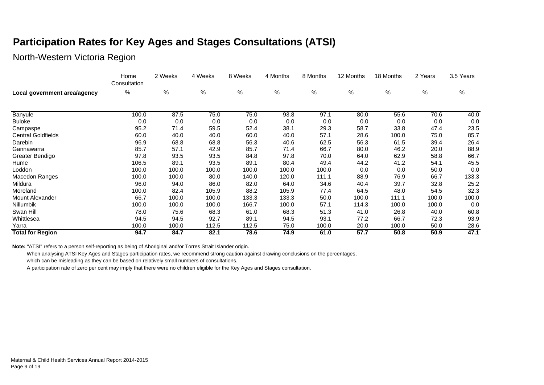#### **Participation Rates for Key Ages and Stages Consultations (ATSI)**

#### North-Western Victoria Region

|                              | Home<br>Consultation | 2 Weeks | 4 Weeks | 8 Weeks | 4 Months | 8 Months | 12 Months | 18 Months | 2 Years | 3.5 Years |
|------------------------------|----------------------|---------|---------|---------|----------|----------|-----------|-----------|---------|-----------|
| Local government area/agency | %                    | $\%$    | $\%$    | $\%$    | $\%$     | $\%$     | $\%$      | %         | $\%$    | %         |
|                              |                      |         |         |         |          |          |           |           |         |           |
| Banyule                      | 100.0                | 87.5    | 75.0    | 75.0    | 93.8     | 97.1     | 80.0      | 55.6      | 70.6    | 40.0      |
| <b>Buloke</b>                | 0.0                  | 0.0     | 0.0     | 0.0     | 0.0      | 0.0      | 0.0       | 0.0       | 0.0     | 0.0       |
| Campaspe                     | 95.2                 | 71.4    | 59.5    | 52.4    | 38.1     | 29.3     | 58.7      | 33.8      | 47.4    | 23.5      |
| <b>Central Goldfields</b>    | 60.0                 | 40.0    | 40.0    | 60.0    | 40.0     | 57.1     | 28.6      | 100.0     | 75.0    | 85.7      |
| Darebin                      | 96.9                 | 68.8    | 68.8    | 56.3    | 40.6     | 62.5     | 56.3      | 61.5      | 39.4    | 26.4      |
| Gannawarra                   | 85.7                 | 57.1    | 42.9    | 85.7    | 71.4     | 66.7     | 80.0      | 46.2      | 20.0    | 88.9      |
| Greater Bendigo              | 97.8                 | 93.5    | 93.5    | 84.8    | 97.8     | 70.0     | 64.0      | 62.9      | 58.8    | 66.7      |
| Hume                         | 106.5                | 89.1    | 93.5    | 89.1    | 80.4     | 49.4     | 44.2      | 41.2      | 54.1    | 45.5      |
| Loddon                       | 100.0                | 100.0   | 100.0   | 100.0   | 100.0    | 100.0    | 0.0       | 0.0       | 50.0    | 0.0       |
| Macedon Ranges               | 100.0                | 100.0   | 80.0    | 140.0   | 120.0    | 111.1    | 88.9      | 76.9      | 66.7    | 133.3     |
| Mildura                      | 96.0                 | 94.0    | 86.0    | 82.0    | 64.0     | 34.6     | 40.4      | 39.7      | 32.8    | 25.2      |
| Moreland                     | 100.0                | 82.4    | 105.9   | 88.2    | 105.9    | 77.4     | 64.5      | 48.0      | 54.5    | 32.3      |
| Mount Alexander              | 66.7                 | 100.0   | 100.0   | 133.3   | 133.3    | 50.0     | 100.0     | 111.1     | 100.0   | 100.0     |
| Nillumbik                    | 100.0                | 100.0   | 100.0   | 166.7   | 100.0    | 57.1     | 114.3     | 100.0     | 100.0   | 0.0       |
| Swan Hill                    | 78.0                 | 75.6    | 68.3    | 61.0    | 68.3     | 51.3     | 41.0      | 26.8      | 40.0    | 60.8      |
| Whittlesea                   | 94.5                 | 94.5    | 92.7    | 89.1    | 94.5     | 93.1     | 77.2      | 66.7      | 72.3    | 93.9      |
| Yarra                        | 100.0                | 100.0   | 112.5   | 112.5   | 75.0     | 100.0    | 20.0      | 100.0     | 50.0    | 28.6      |
| <b>Total for Region</b>      | 94.7                 | 84.7    | 82.1    | 78.6    | 74.9     | 61.0     | 57.7      | 50.8      | 50.9    | 47.1      |

**Note:** "ATSI" refers to a person self-reporting as being of Aboriginal and/or Torres Strait Islander origin.

When analysing ATSI Key Ages and Stages participation rates, we recommend strong caution against drawing conclusions on the percentages,

which can be misleading as they can be based on relatively small numbers of consultations.

A participation rate of zero per cent may imply that there were no children eligible for the Key Ages and Stages consultation.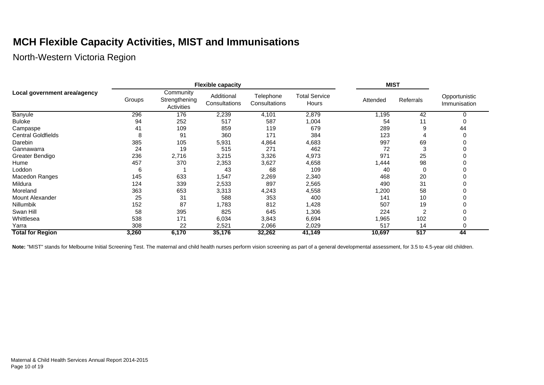# **MCH Flexible Capacity Activities, MIST and Immunisations**

North-Western Victoria Region

|                              |        |                                          | <b>Flexible capacity</b>    |                            | <b>MIST</b>                   |          |                |                               |
|------------------------------|--------|------------------------------------------|-----------------------------|----------------------------|-------------------------------|----------|----------------|-------------------------------|
| Local government area/agency | Groups | Community<br>Strengthening<br>Activities | Additional<br>Consultations | Telephone<br>Consultations | <b>Total Service</b><br>Hours | Attended | Referrals      | Opportunistic<br>Immunisation |
| Banyule                      | 296    | 176                                      | 2,239                       | 4,101                      | 2,879                         | 1,195    | 42             |                               |
| <b>Buloke</b>                | 94     | 252                                      | 517                         | 587                        | 1,004                         | 54       | 11             |                               |
| Campaspe                     | 41     | 109                                      | 859                         | 119                        | 679                           | 289      | 9              | 44                            |
| <b>Central Goldfields</b>    | 8      | 91                                       | 360                         | 171                        | 384                           | 123      |                |                               |
| Darebin                      | 385    | 105                                      | 5,931                       | 4,864                      | 4,683                         | 997      | 69             |                               |
| Gannawarra                   | 24     | 19                                       | 515                         | 271                        | 462                           | 72       | 3              |                               |
| Greater Bendigo              | 236    | 2,716                                    | 3,215                       | 3,326                      | 4,973                         | 971      | 25             |                               |
| Hume                         | 457    | 370                                      | 2,353                       | 3,627                      | 4,658                         | 1,444    | 98             |                               |
| Loddon                       | 6      |                                          | 43                          | 68                         | 109                           | 40       | 0              |                               |
| Macedon Ranges               | 145    | 633                                      | 1,547                       | 2,269                      | 2,340                         | 468      | 20             |                               |
| Mildura                      | 124    | 339                                      | 2,533                       | 897                        | 2,565                         | 490      | 31             |                               |
| Moreland                     | 363    | 653                                      | 3,313                       | 4,243                      | 4,558                         | 1,200    | 58             |                               |
| <b>Mount Alexander</b>       | 25     | 31                                       | 588                         | 353                        | 400                           | 141      | 10             |                               |
| <b>Nillumbik</b>             | 152    | 87                                       | ,783                        | 812                        | 1,428                         | 507      | 19             |                               |
| Swan Hill                    | 58     | 395                                      | 825                         | 645                        | 1,306                         | 224      | $\overline{2}$ |                               |
| Whittlesea                   | 538    | 171                                      | 6,034                       | 3,843                      | 6,694                         | 1,965    | 102            |                               |
| Yarra                        | 308    | 22                                       | 2,521                       | 2,066                      | 2,029                         | 517      | 14             |                               |
| <b>Total for Region</b>      | 3,260  | 6,170                                    | 35,176                      | 32,262                     | 41,149                        | 10,697   | 517            | 44                            |

Note: "MIST" stands for Melbourne Initial Screening Test. The maternal and child health nurses perform vision screening as part of a general developmental assessment, for 3.5 to 4.5-year old children.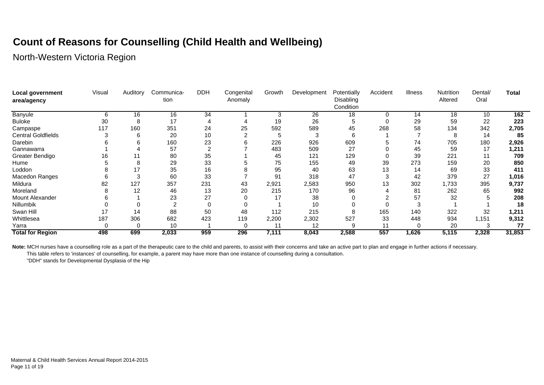# **Count of Reasons for Counselling (Child Health and Wellbeing)**

North-Western Victoria Region

| Local government<br>area/agency | Visual | Auditory | Communica-<br>tion | <b>DDH</b> | Congenital<br>Anomaly | Growth | Development | Potentially<br>Disabling<br>Condition | Accident | <b>Illness</b> | Nutrition<br>Altered | Dental/<br>Oral | <b>Total</b> |
|---------------------------------|--------|----------|--------------------|------------|-----------------------|--------|-------------|---------------------------------------|----------|----------------|----------------------|-----------------|--------------|
| Banyule                         | 6      | 16       | 16                 | 34         |                       | 3      | 26          | 18                                    | $\Omega$ | 14             | 18                   | 10              | 162          |
| <b>Buloke</b>                   | 30     | 8        | 17                 |            |                       | 19     | 26          | b                                     |          | 29             | 59                   | 22              | 223          |
| Campaspe                        | 117    | 160      | 351                | 24         | 25                    | 592    | 589         | 45                                    | 268      | 58             | 134                  | 342             | 2,705        |
| <b>Central Goldfields</b>       |        | 6        | 20                 | 10         |                       | 5      | 3           | 6                                     |          |                | 8                    | 14              | 85           |
| Darebin                         |        |          | 160                | 23         |                       | 226    | 926         | 609                                   |          | 74             | 705                  | 180             | 2,926        |
| Gannawarra                      |        |          | 57                 | 2          |                       | 483    | 509         | 27                                    |          | 45             | 59                   | 17              | 1,211        |
| Greater Bendigo                 | 16     |          | 80                 | 35         |                       | 45     | 121         | 129                                   |          | 39             | 221                  | 11              | 709          |
| Hume                            |        | 8        | 29                 | 33         |                       | 75     | 155         | 49                                    | 39       | 273            | 159                  | 20              | 850          |
| Loddon                          |        |          | 35                 | 16         |                       | 95     | 40          | 63                                    | 13       | 14             | 69                   | 33              | 411          |
| Macedon Ranges                  | n      | 3        | 60                 | 33         |                       | 91     | 318         | 47                                    |          | 42             | 379                  | 27              | 1,016        |
| Mildura                         | 82     | 127      | 357                | 231        | 43                    | 2,921  | 2,583       | 950                                   | 13       | 302            | 1,733                | 395             | 9,737        |
| Moreland                        |        | 12       | 46                 | 13         | 20                    | 215    | 170         | 96                                    |          | 81             | 262                  | 65              | 992          |
| Mount Alexander                 |        |          | 23                 | 27         |                       | 17     | 38          |                                       |          | 57             | 32                   |                 | 208          |
| Nillumbik                       |        |          |                    | $\Omega$   |                       |        | 10          |                                       |          |                |                      |                 | 18           |
| Swan Hill                       | 17     | 14       | 88                 | 50         | 48                    | 112    | 215         |                                       | 165      | 140            | 322                  | 32              | 1,211        |
| Whittlesea                      | 187    | 306      | 682                | 423        | 119                   | 2,200  | 2,302       | 527                                   | 33       | 448            | 934                  | 1,151           | 9,312        |
| Yarra                           |        | 0        | 10                 |            | 0                     | 11     | 12          | 9                                     | 11       |                | 20                   |                 | 77           |
| <b>Total for Region</b>         | 498    | 699      | 2,033              | 959        | 296                   | 7,111  | 8,043       | 2,588                                 | 557      | 1,626          | 5,115                | 2,328           | 31,853       |

Note: MCH nurses have a counselling role as a part of the therapeutic care to the child and parents, to assist with their concerns and take an active part to plan and engage in further actions if necessary.

This table refers to 'instances' of counselling, for example, a parent may have more than one instance of counselling during a consultation.

"DDH" stands for Developmental Dysplasia of the Hip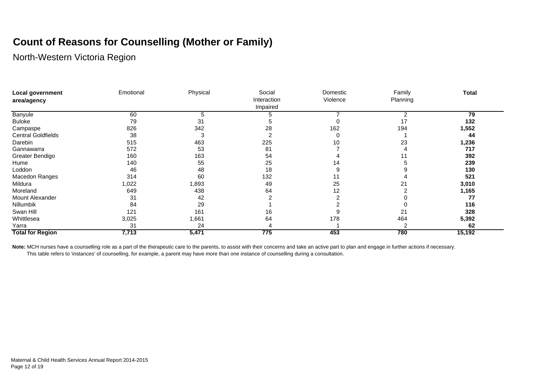# **Count of Reasons for Counselling (Mother or Family)**

North-Western Victoria Region

| <b>Local government</b>   | Emotional | Physical | Social      | Domestic | Family   | <b>Total</b> |
|---------------------------|-----------|----------|-------------|----------|----------|--------------|
| area/agency               |           |          | Interaction | Violence | Planning |              |
|                           |           |          | Impaired    |          |          |              |
| Banyule                   | 60        | 5        |             |          |          | 79           |
| <b>Buloke</b>             | 79        | 31       | :C          |          | 17       | 132          |
| Campaspe                  | 826       | 342      | 28          | 162      | 194      | 1,552        |
| <b>Central Goldfields</b> | 38        | 3        |             |          |          | 44           |
| Darebin                   | 515       | 463      | 225         | 10       | 23       | 1,236        |
| Gannawarra                | 572       | 53       | 81          |          |          | 717          |
| Greater Bendigo           | 160       | 163      | 54          |          |          | 392          |
| Hume                      | 140       | 55       | 25          | 14       |          | 239          |
| Loddon                    | 46        | 48       | 18          |          |          | 130          |
| Macedon Ranges            | 314       | 60       | 132         | н        |          | 521          |
| Mildura                   | 1,022     | 1,893    | 49          | 25       | 21       | 3,010        |
| Moreland                  | 649       | 438      | 64          | 12       |          | 1,165        |
| Mount Alexander           | 31        | 42       |             |          |          | 77           |
| Nillumbik                 | 84        | 29       |             |          |          | 116          |
| Swan Hill                 | 121       | 161      | 16          |          | 21       | 328          |
| Whittlesea                | 3,025     | 1,661    | 64          | 178      | 464      | 5,392        |
| Yarra                     | 31        | 24       |             |          |          | 62           |
| <b>Total for Region</b>   | 7,713     | 5,471    | 775         | 453      | 780      | 15,192       |

Note: MCH nurses have a counselling role as a part of the therapeutic care to the parents, to assist with their concerns and take an active part to plan and engage in further actions if necessary.

This table refers to 'instances' of counselling, for example, a parent may have more than one instance of counselling during a consultation.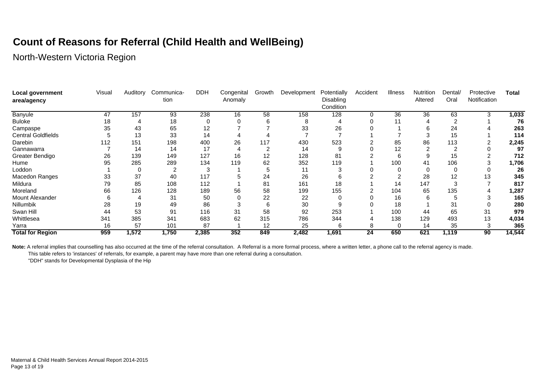# **Count of Reasons for Referral (Child Health and WellBeing)**

North-Western Victoria Region

| Local government<br>area/agency | Visual | Auditory | Communica-<br>tion | <b>DDH</b> | Congenital<br>Anomaly | Growth | Development | Potentially<br>Disabling<br>Condition | Accident | <b>Illness</b> | Nutrition<br>Altered | Dental/<br>Oral | Protective<br>Notification | <b>Total</b> |
|---------------------------------|--------|----------|--------------------|------------|-----------------------|--------|-------------|---------------------------------------|----------|----------------|----------------------|-----------------|----------------------------|--------------|
| <b>Banyule</b>                  | 47     | 157      | 93                 | 238        | 16                    | 58     | 158         | 128                                   | $\Omega$ | 36             | 36                   | 63              |                            | 1,033        |
| <b>Buloke</b>                   | 18     |          | 18                 |            |                       |        | 8           |                                       |          | 11             |                      | റ               |                            | 76           |
| Campaspe                        | 35     | 43       | 65                 | 12         |                       |        | 33          | 26                                    |          |                | 6                    | 24              |                            | 263          |
| <b>Central Goldfields</b>       |        | 13       | 33                 | 14         |                       |        |             |                                       |          |                | 3                    | 15              |                            | 114          |
| Darebin                         | 112    | 151      | 198                | 400        | 26                    | 117    | 430         | 523                                   |          | 85             | 86                   | 113             |                            | 2,245        |
| Gannawarra                      |        | 14       | 14                 | 17         |                       |        | 14          |                                       |          | 12             |                      |                 |                            | 97           |
| Greater Bendigo                 | 26     | 139      | 149                | 127        | 16                    | 12     | 128         | 81                                    |          | 6              |                      | 15              |                            | 712          |
| Hume                            | 95     | 285      | 289                | 134        | 119                   | 62     | 352         | 119                                   |          | 100            | 41                   | 106             |                            | 1,706        |
| Loddon                          |        | 0        |                    |            |                       |        | 11          |                                       |          |                |                      |                 |                            | 26           |
| Macedon Ranges                  | 33     | 37       | 40                 | 117        |                       | 24     | 26          |                                       |          |                | 28                   | 12              | 13                         | 345          |
| Mildura                         | 79     | 85       | 108                | 112        |                       | 81     | 161         | 18                                    |          | 14             | 147                  |                 |                            | 817          |
| Moreland                        | 66     | 126      | 128                | 189        | 56                    | 58     | 199         | 155                                   |          | 104            | 65                   | 135             |                            | 1,287        |
| <b>Mount Alexander</b>          |        | -4       | 31                 | 50         |                       | 22     | 22          |                                       |          | 16             | 6                    |                 |                            | 165          |
| Nillumbik                       | 28     | 19       | 49                 | 86         |                       | 6      | 30          |                                       |          | 18             |                      | 31              |                            | 280          |
| Swan Hill                       | 44     | 53       | 91                 | 116        | 31                    | 58     | 92          | 253                                   |          | 100            | 44                   | 65              | 31                         | 979          |
| Whittlesea                      | 341    | 385      | 341                | 683        | 62                    | 315    | 786         | 344                                   |          | 138            | 129                  | 493             | 13                         | 4,034        |
| Yarra                           | 16     | 57       | 101                | 87         |                       | 12     | 25          | 6                                     | 8        | 0              | 14                   | 35              |                            | 365          |
| <b>Total for Region</b>         | 959    | 1,572    | 1,750              | 2,385      | 352                   | 849    | 2,482       | 1,691                                 | 24       | 650            | 621                  | 1,119           | 90                         | 14,544       |

Note: A referral implies that counselling has also occurred at the time of the referral consultation. A Referral is a more formal process, where a written letter, a phone call to the referral agency is made.

This table refers to 'instances' of referrals, for example, a parent may have more than one referral during a consultation.

"DDH" stands for Developmental Dysplasia of the Hip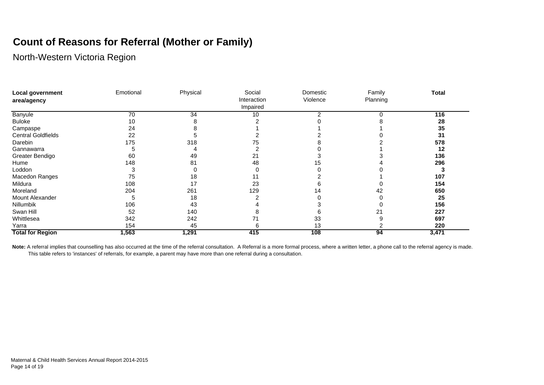# **Count of Reasons for Referral (Mother or Family)**

North-Western Victoria Region

| Local government<br>area/agency | Emotional | Physical | Social<br>Interaction<br>Impaired | Domestic<br>Violence | Family<br>Planning | <b>Total</b> |
|---------------------------------|-----------|----------|-----------------------------------|----------------------|--------------------|--------------|
| Banyule                         | 70        | 34       | 10                                |                      |                    | 116          |
| <b>Buloke</b>                   | 10        |          |                                   |                      |                    | 28           |
| Campaspe                        | 24        |          |                                   |                      |                    | 35           |
| <b>Central Goldfields</b>       | 22        |          |                                   |                      |                    | 31           |
| Darebin                         | 175       | 318      | ⁄5                                |                      |                    | 578          |
| Gannawarra                      |           |          |                                   |                      |                    | 12           |
| Greater Bendigo                 | 60        | 49       | 21                                |                      |                    | 136          |
| Hume                            | 148       | 81       | 48                                |                      |                    | 296          |
| Loddon                          |           |          |                                   |                      |                    |              |
| Macedon Ranges                  | 75        | 18       |                                   |                      |                    | 107          |
| Mildura                         | 108       | 17       | 23                                |                      |                    | 154          |
| Moreland                        | 204       | 261      | 129                               |                      |                    | 650          |
| Mount Alexander                 |           | 18       |                                   |                      |                    | 25           |
| Nillumbik                       | 106       | 43       |                                   |                      |                    | 156          |
| Swan Hill                       | 52        | 140      |                                   |                      |                    | 227          |
| Whittlesea                      | 342       | 242      |                                   | 33                   |                    | 697          |
| Yarra                           | 154       | 45       |                                   | 13                   |                    | 220          |
| <b>Total for Region</b>         | 1,563     | 1,291    | 415                               | 108                  | 94                 | 3,471        |

Note: A referral implies that counselling has also occurred at the time of the referral consultation. A Referral is a more formal process, where a written letter, a phone call to the referral agency is made. This table refers to 'instances' of referrals, for example, a parent may have more than one referral during a consultation.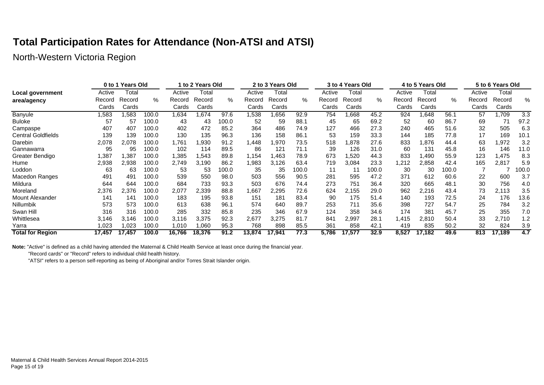# **Total Participation Rates for Attendance (Non-ATSI and ATSI)**

North-Western Victoria Region

| 0 to 1 Years Old          |        |        |       |        | 1 to 2 Years Old |       | 2 to 3 Years Old |        |       |        | 3 to 4 Years Old |       |        | 4 to 5 Years Old |       | 5 to 6 Years Old |        |       |
|---------------------------|--------|--------|-------|--------|------------------|-------|------------------|--------|-------|--------|------------------|-------|--------|------------------|-------|------------------|--------|-------|
| Local government          | Active | Total  |       | Active | Total            |       | Active           | Total  |       | Active | Total            |       | Active | Total            |       | Active           | Total  |       |
| area/agency               | Record | Record | %     | Record | Record           | %     | Record           | Record | %     | Record | Record           | %     | Record | Record           | %     | Record           | Record | ℅     |
|                           | Cards  | Cards  |       | Cards  | Cards            |       | Cards            | Cards  |       | Cards  | Cards            |       | Cards  | Cards            |       | Cards            | Cards  |       |
| <b>Banyule</b>            | 583,   | .583   | 100.0 | 1,634  | .674             | 97.6  | 538, ا           | .656   | 92.9  | 754    | .668             | 45.2  | 924    | 648. ا           | 56.1  | 57               | l.709  | 3.3   |
| <b>Buloke</b>             | 57     | 57     | 100.0 | 43     | 43               | 100.0 | 52               | 59     | 88.1  | 45     | 65               | 69.2  | 52     | 60               | 86.7  | 69               | 71     | 97.2  |
| Campaspe                  | 407    | 407    | 100.0 | 402    | 472              | 85.2  | 364              | 486    | 74.9  | 127    | 466              | 27.3  | 240    | 465              | 51.6  | 32               | 505    | 6.3   |
| <b>Central Goldfields</b> | 139    | 139    | 100.0 | 130    | 135              | 96.3  | 136              | 158    | 86.1  | 53     | 159              | 33.3  | 144    | 185              | 77.8  | 17               | 169    | 10.1  |
| Darebin                   | 2.078  | 2.078  | 100.0 | 1,761  | .930             | 91.2  | 1,448            | .970   | 73.5  | 518    | .878             | 27.6  | 833    | 1,876            | 44.4  | 63               | 1,972  | 3.2   |
| Gannawarra                | 95     | 95     | 100.0 | 102    | 114              | 89.5  | 86               | 121    | 71.1  | 39     | 126              | 31.0  | 60     | 131              | 45.8  | 16               | 146    | 11.0  |
| Greater Bendigo           | ,387   | 1,387  | 100.0 | 1,385  | .543             | 89.8  | 1,154            | 1,463  | 78.9  | 673    | .520             | 44.3  | 833    | 1,490            | 55.9  | 123              | 1,475  | 8.3   |
| Hume                      | 2,938  | 2,938  | 100.0 | 2,749  | 3,190            | 86.2  | 1,983            | 3,126  | 63.4  | 719    | 3,084            | 23.3  | .212   | 2,858            | 42.4  | 165              | 2,817  | 5.9   |
| Loddon                    | 63     | 63     | 100.0 | 53     | 53               | 0.001 | 35               | 35     | 100.0 | 11     | 11               | 100.0 | 30     | 30               | 100.0 |                  |        | 100.0 |
| Macedon Ranges            | 491    | 491    | 100.0 | 539    | 550              | 98.0  | 503              | 556    | 90.5  | 281    | 595              | 47.2  | 371    | 612              | 60.6  | 22               | 600    | 3.7   |
| Mildura                   | 644    | 644    | 100.0 | 684    | 733              | 93.3  | 503              | 676    | 74.4  | 273    | 751              | 36.4  | 320    | 665              | 48.1  | 30               | 756    | 4.0   |
| Moreland                  | 2,376  | 2,376  | 100.0 | 2,077  | 2,339            | 88.8  | 1,667            | 2,295  | 72.6  | 624    | 2,155            | 29.0  | 962    | 2,216            | 43.4  | 73               | 2,113  | 3.5   |
| Mount Alexander           | 141    | 141    | 100.0 | 183    | 195              | 93.8  | 151              | 181    | 83.4  | 90     | 175              | 51.4  | 140    | 193              | 72.5  | 24               | 176    | 13.6  |
| Nillumbik                 | 573    | 573    | 100.0 | 613    | 638              | 96.1  | 574              | 640    | 89.7  | 253    | 711              | 35.6  | 398    | 727              | 54.7  | 25               | 784    | 3.2   |
| Swan Hill                 | 316    | 316    | 100.0 | 285    | 332              | 85.8  | 235              | 346    | 67.9  | 124    | 358              | 34.6  | 174    | 381              | 45.7  | 25               | 355    | 7.0   |
| Whittlesea                | 3.146  | 3.146  | 100.0 | 3.116  | 3,375            | 92.3  | 2,677            | 3,275  | 81.7  | 841    | 2,997            | 28.1  | .415   | 2,810            | 50.4  | 33               | 2,710  | 1.2   |
| Yarra                     | 023. ا | .023   | 100.0 | 1,010  | .060             | 95.3  | 768              | 898    | 85.5  | 361    | 858              | 42.1  | 419    | 835              | 50.2  | 32               | 824    | 3.9   |
| <b>Total for Region</b>   | 17,457 | 17,457 | 100.0 | 16,766 | 18.376           | 91.2  | 13,874           | 17.941 | 77.3  | 5,786  | 17.577           | 32.9  | 8,527  | 17.182           | 49.6  | 813              | 17.189 | 4.7   |

**Note:** "Active" is defined as a child having attended the Maternal & Child Health Service at least once during the financial year.

"Record cards" or "Record" refers to individual child health history.

"ATSI" refers to a person self-reporting as being of Aboriginal and/or Torres Strait Islander origin.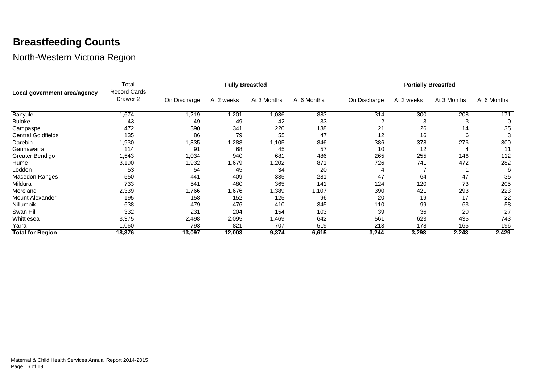# **Breastfeeding Counts**

| Banyule<br><b>Buloke</b><br>Campaspe<br><b>Central Goldfields</b><br>Darebin<br>Gannawarra<br>Greater Bendigo<br>Hume<br>Loddon<br>Macedon Ranges<br>Mildura<br>Moreland<br>Mount Alexander<br>Nillumbik<br>Swan Hill<br>Whittlesea<br>Yarra | Total                                      |                                                                          |        | <b>Fully Breastfed</b> |             | <b>Partially Breastfed</b> |       |       |       |  |  |
|----------------------------------------------------------------------------------------------------------------------------------------------------------------------------------------------------------------------------------------------|--------------------------------------------|--------------------------------------------------------------------------|--------|------------------------|-------------|----------------------------|-------|-------|-------|--|--|
| Local government area/agency                                                                                                                                                                                                                 | <b>Record Cards</b><br>Drawer <sub>2</sub> | At 3 Months<br>At 6 Months<br>On Discharge<br>At 2 weeks<br>On Discharge |        | At 2 weeks             | At 3 Months | At 6 Months                |       |       |       |  |  |
|                                                                                                                                                                                                                                              | 1,674                                      | 1,219                                                                    | 1,201  | 1,036                  | 883         | 314                        | 300   | 208   | 171   |  |  |
|                                                                                                                                                                                                                                              | 43                                         | 49                                                                       | 49     | 42                     | 33          |                            | 3     |       | 0     |  |  |
|                                                                                                                                                                                                                                              | 472                                        | 390                                                                      | 341    | 220                    | 138         | 21                         | 26    | 14    | 35    |  |  |
|                                                                                                                                                                                                                                              | 135                                        | 86                                                                       | 79     | 55                     | 47          | 12                         | 16    | 6     | 3     |  |  |
|                                                                                                                                                                                                                                              | 1,930                                      | 1,335                                                                    | 288, ا | 1,105                  | 846         | 386                        | 378   | 276   | 300   |  |  |
|                                                                                                                                                                                                                                              | 114                                        | 91                                                                       | 68     | 45                     | 57          | 10                         | 12    | 4     | 11    |  |  |
|                                                                                                                                                                                                                                              | 1,543                                      | 1,034                                                                    | 940    | 681                    | 486         | 265                        | 255   | 146   | 112   |  |  |
|                                                                                                                                                                                                                                              | 3,190                                      | 1,932                                                                    | 1,679  | 1,202                  | 871         | 726                        | 741   | 472   | 282   |  |  |
|                                                                                                                                                                                                                                              | 53                                         | 54                                                                       | 45     | 34                     | 20          |                            |       |       | 6     |  |  |
|                                                                                                                                                                                                                                              | 550                                        | 441                                                                      | 409    | 335                    | 281         | 47                         | 64    | 47    | 35    |  |  |
|                                                                                                                                                                                                                                              | 733                                        | 541                                                                      | 480    | 365                    | 141         | 124                        | 120   | 73    | 205   |  |  |
|                                                                                                                                                                                                                                              | 2,339                                      | 1,766                                                                    | 1,676  | 1,389                  | 1,107       | 390                        | 421   | 293   | 223   |  |  |
|                                                                                                                                                                                                                                              | 195                                        | 158                                                                      | 152    | 125                    | 96          | 20                         | 19    | 17    | 22    |  |  |
|                                                                                                                                                                                                                                              | 638                                        | 479                                                                      | 476    | 410                    | 345         | 110                        | 99    | 63    | 58    |  |  |
|                                                                                                                                                                                                                                              | 332                                        | 231                                                                      | 204    | 154                    | 103         | 39                         | 36    | 20    | 27    |  |  |
|                                                                                                                                                                                                                                              | 3,375                                      | 2,498                                                                    | 2,095  | .469                   | 642         | 561                        | 623   | 435   | 743   |  |  |
|                                                                                                                                                                                                                                              | 1,060                                      | 793                                                                      | 821    | 707                    | 519         | 213                        | 178   | 165   | 196   |  |  |
| <b>Total for Region</b>                                                                                                                                                                                                                      | 18,376                                     | 13,097                                                                   | 12,003 | 9,374                  | 6,615       | 3,244                      | 3,298 | 2,243 | 2,429 |  |  |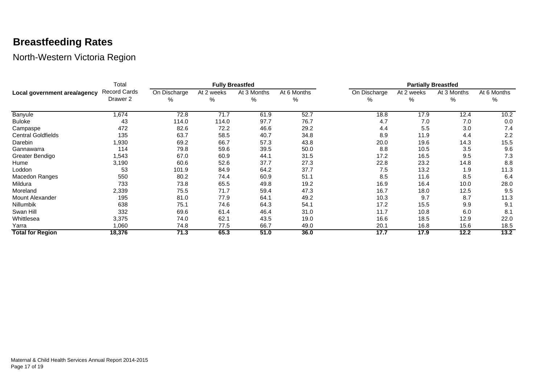#### **Breastfeeding Rates**

|                              | Total                    |                   |                 | <b>Fully Breastfed</b> |                  | <b>Partially Breastfed</b> |                 |                  |                  |  |  |
|------------------------------|--------------------------|-------------------|-----------------|------------------------|------------------|----------------------------|-----------------|------------------|------------------|--|--|
| Local government area/agency | Record Cards<br>Drawer 2 | On Discharge<br>% | At 2 weeks<br>% | At 3 Months<br>%       | At 6 Months<br>% | On Discharge<br>℅          | At 2 weeks<br>% | At 3 Months<br>% | At 6 Months<br>% |  |  |
| Banyule                      | 1,674                    | 72.8              | 71.7            | 61.9                   | 52.7             | 18.8                       | 17.9            | 12.4             | 10.2             |  |  |
| <b>Buloke</b>                | 43                       | 114.0             | 114.0           | 97.7                   | 76.7             | 4.7                        | 7.0             | 7.0              | 0.0              |  |  |
| Campaspe                     | 472                      | 82.6              | 72.2            | 46.6                   | 29.2             | 4.4                        | 5.5             | 3.0              | 7.4              |  |  |
| <b>Central Goldfields</b>    | 135                      | 63.7              | 58.5            | 40.7                   | 34.8             | 8.9                        | 11.9            | 4.4              | 2.2              |  |  |
| Darebin                      | 1,930                    | 69.2              | 66.7            | 57.3                   | 43.8             | 20.0                       | 19.6            | 14.3             | 15.5             |  |  |
| Gannawarra                   | 114                      | 79.8              | 59.6            | 39.5                   | 50.0             | 8.8                        | 10.5            | 3.5              | 9.6              |  |  |
| Greater Bendigo              | 1,543                    | 67.0              | 60.9            | 44.1                   | 31.5             | 17.2                       | 16.5            | 9.5              | 7.3              |  |  |
| Hume                         | 3,190                    | 60.6              | 52.6            | 37.7                   | 27.3             | 22.8                       | 23.2            | 14.8             | 8.8              |  |  |
| Loddon                       | 53                       | 101.9             | 84.9            | 64.2                   | 37.7             | 7.5                        | 13.2            | 1.9              | 11.3             |  |  |
| Macedon Ranges               | 550                      | 80.2              | 74.4            | 60.9                   | 51.1             | 8.5                        | 11.6            | 8.5              | 6.4              |  |  |
| Mildura                      | 733                      | 73.8              | 65.5            | 49.8                   | 19.2             | 16.9                       | 16.4            | 10.0             | 28.0             |  |  |
| Moreland                     | 2,339                    | 75.5              | 71.7            | 59.4                   | 47.3             | 16.7                       | 18.0            | 12.5             | 9.5              |  |  |
| Mount Alexander              | 195                      | 81.0              | 77.9            | 64.1                   | 49.2             | 10.3                       | 9.7             | 8.7              | 11.3             |  |  |
| <b>Nillumbik</b>             | 638                      | 75.1              | 74.6            | 64.3                   | 54.1             | 17.2                       | 15.5            | 9.9              | 9.1              |  |  |
| Swan Hill                    | 332                      | 69.6              | 61.4            | 46.4                   | 31.0             | 11.7                       | 10.8            | 6.0              | 8.1              |  |  |
| Whittlesea                   | 3,375                    | 74.0              | 62.1            | 43.5                   | 19.0             | 16.6                       | 18.5            | 12.9             | 22.0             |  |  |
| Yarra                        | 1,060                    | 74.8              | 77.5            | 66.7                   | 49.0             | 20.1                       | 16.8            | 15.6             | 18.5             |  |  |
| <b>Total for Region</b>      | 18,376                   | 71.3              | 65.3            | 51.0                   | 36.0             | 17.7                       | 17.9            | 12.2             | 13.2             |  |  |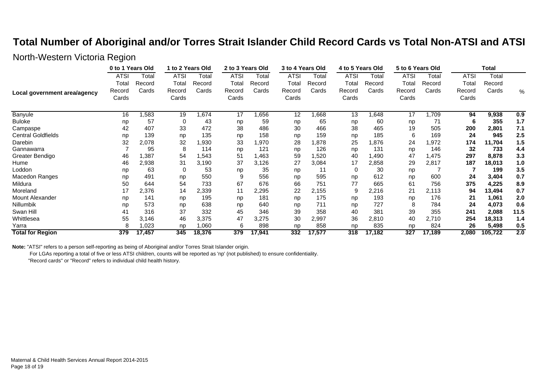#### **Total Number of Aboriginal and/or Torres Strait Islander Child Record Cards vs Total Non-ATSI and ATSI**

#### North-Western Victoria Region

|                              | 0 to 1 Years Old |        | 1 to 2 Years Old |        | 2 to 3 Years Old |        | 3 to 4 Years Old |        | 4 to 5 Years Old |        | 5 to 6 Years Old |        | <b>Total</b> |         |      |
|------------------------------|------------------|--------|------------------|--------|------------------|--------|------------------|--------|------------------|--------|------------------|--------|--------------|---------|------|
|                              | <b>ATSI</b>      | Total  | ATSI             | Total  | <b>ATSI</b>      | Total  | <b>ATSI</b>      | Total  | <b>ATSI</b>      | Total  | <b>ATSI</b>      | Total  | ATSI         | Total   |      |
|                              | Total            | Record | Total            | Record | Total            | Record | Total            | Record | Total            | Record | Total            | Record | Total        | Record  |      |
| Local government area/agency | Record           | Cards  | Record           | Cards  | Record           | Cards  | Record           | Cards  | Record           | Cards  | Record           | Cards  | Record       | Cards   | %    |
|                              | Cards            |        | Cards            |        | Cards            |        | Cards            |        | Cards            |        | Cards            |        | Cards        |         |      |
| <b>Banyule</b>               | 16               | 1,583  | 19               | 674,   | 17               | ,656   | 12               | 866, ا | 13               | 648,   | 17               | ,709   | 94           | 9,938   | 0.9  |
| <b>Buloke</b>                | np               | 57     | 0                | 43     | np               | 59     | np               | 65     | np               | 60     | np               | 71     | 6            | 355     | 1.7  |
| Campaspe                     | 42               | 407    | 33               | 472    | 38               | 486    | 30               | 466    | 38               | 465    | 19               | 505    | 200          | 2,801   | 7.1  |
| <b>Central Goldfields</b>    | np               | 139    | np               | 135    | np               | 158    | np               | 159    | np               | 185    | 6                | 169    | 24           | 945     | 2.5  |
| Darebin                      | 32               | 2,078  | 32               | 1,930  | 33               | 1,970  | 28               | 1,878  | 25               | 1,876  | 24               | 1,972  | 174          | 11,704  | 1.5  |
| Gannawarra                   |                  | 95     | 8                | 114    | np               | 121    | np               | 126    | np               | 131    | np               | 146    | 32           | 733     | 4.4  |
| Greater Bendigo              | 46               | 1,387  | 54               | 1,543  | 51               | 1,463  | 59               | 1,520  | 40               | 1,490  | 47               | 1,475  | 297          | 8,878   | 3.3  |
| Hume                         | 46               | 2,938  | 31               | 3,190  | 37               | 3,126  | 27               | 3,084  | 17               | 2,858  | 29               | 2,817  | 187          | 18,013  | 1.0  |
| Loddon                       | np               | 63     | 0                | 53     | np               | 35     | np               | 11     | 0                | 30     | np               |        |              | 199     | 3.5  |
| Macedon Ranges               | np               | 491    | np               | 550    | 9                | 556    | np               | 595    | np               | 612    | np               | 600    | 24           | 3,404   | 0.7  |
| Mildura                      | 50               | 644    | 54               | 733    | 67               | 676    | 66               | 751    | 77               | 665    | 61               | 756    | 375          | 4,225   | 8.9  |
| Moreland                     | 17               | 2,376  | 14               | 2,339  | 11               | 2,295  | 22               | 2,155  | 9                | 2,216  | 21               | 2,113  | 94           | 13,494  | 0.7  |
| Mount Alexander              | np               | 141    | np               | 195    | np               | 181    | np               | 175    | np               | 193    | np               | 176    | 21           | 1,061   | 2.0  |
| Nillumbik                    | np               | 573    | np               | 638    | np               | 640    | np               | 711    | np               | 727    | 8                | 784    | 24           | 4,073   | 0.6  |
| Swan Hill                    | 41               | 316    | 37               | 332    | 45               | 346    | 39               | 358    | 40               | 381    | 39               | 355    | 241          | 2,088   | 11.5 |
| Whittlesea                   | 55               | 3,146  | 46               | 3,375  | 47               | 3,275  | 30               | 2,997  | 36               | 2,810  | 40               | 2,710  | 254          | 18,313  | 1.4  |
| Yarra                        | 8                | 1,023  | np               | 1,060  | 6                | 898    | np               | 858    | np               | 835    | np               | 824    | 26           | 5,498   | 0.5  |
| <b>Total for Region</b>      | 379              | 17,457 | 345              | 18,376 | 379              | 17,941 | 332              | 17,577 | 318              | 17,182 | 327              | 17,189 | 2,080        | 105,722 | 2.0  |

**Note:** "ATSI" refers to a person self-reporting as being of Aboriginal and/or Torres Strait Islander origin.

For LGAs reporting a total of five or less ATSI children, counts will be reported as 'np' (not published) to ensure confidentiality.

"Record cards" or "Record" refers to individual child health history.